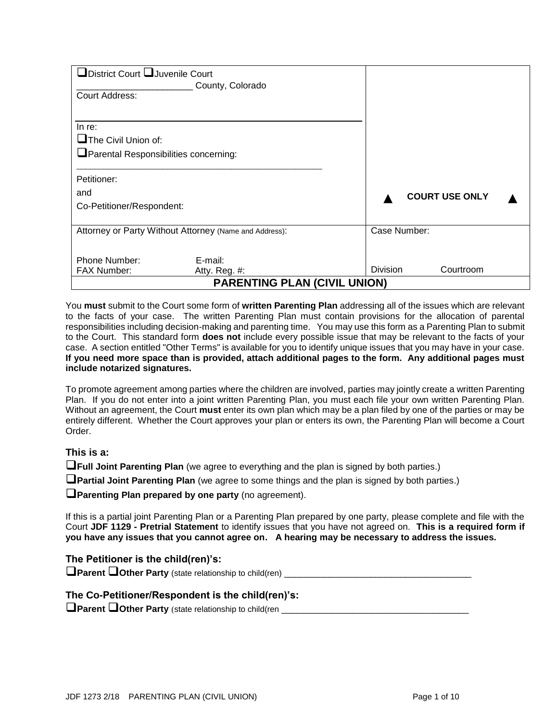| District Court DJuvenile Court<br>Court Address: | County, Colorado                                       |                 |              |                       |
|--------------------------------------------------|--------------------------------------------------------|-----------------|--------------|-----------------------|
| In re:<br>$\Box$ The Civil Union of:             |                                                        |                 |              |                       |
| Parental Responsibilities concerning:            |                                                        |                 |              |                       |
| Petitioner:                                      |                                                        |                 |              |                       |
| and                                              |                                                        |                 |              | <b>COURT USE ONLY</b> |
| Co-Petitioner/Respondent:                        |                                                        |                 |              |                       |
|                                                  |                                                        |                 |              |                       |
|                                                  | Attorney or Party Without Attorney (Name and Address): |                 | Case Number: |                       |
|                                                  |                                                        |                 |              |                       |
| Phone Number:                                    | E-mail:                                                |                 |              |                       |
| <b>FAX Number:</b>                               | Atty. Reg. #:                                          | <b>Division</b> |              | Courtroom             |
|                                                  | <b>PARENTING PLAN (CIVIL UNION)</b>                    |                 |              |                       |

You **must** submit to the Court some form of **written Parenting Plan** addressing all of the issues which are relevant to the facts of your case. The written Parenting Plan must contain provisions for the allocation of parental responsibilities including decision-making and parenting time. You may use this form as a Parenting Plan to submit to the Court. This standard form **does not** include every possible issue that may be relevant to the facts of your case. A section entitled "Other Terms" is available for you to identify unique issues that you may have in your case. **If you need more space than is provided, attach additional pages to the form. Any additional pages must include notarized signatures.** 

To promote agreement among parties where the children are involved, parties may jointly create a written Parenting Plan. If you do not enter into a joint written Parenting Plan, you must each file your own written Parenting Plan. Without an agreement, the Court **must** enter its own plan which may be a plan filed by one of the parties or may be entirely different. Whether the Court approves your plan or enters its own, the Parenting Plan will become a Court Order.

### **This is a:**

**Full Joint Parenting Plan** (we agree to everything and the plan is signed by both parties.)

**Partial Joint Parenting Plan** (we agree to some things and the plan is signed by both parties.)

**Parenting Plan prepared by one party** (no agreement).

If this is a partial joint Parenting Plan or a Parenting Plan prepared by one party, please complete and file with the Court **JDF 1129 - Pretrial Statement** to identify issues that you have not agreed on. **This is a required form if you have any issues that you cannot agree on. A hearing may be necessary to address the issues.**

### **The Petitioner is the child(ren)'s:**

**Parent Dother Party** (state relationship to child(ren)

### **The Co-Petitioner/Respondent is the child(ren)'s:**

**Parent Dother Party** (state relationship to child(ren  $\blacksquare$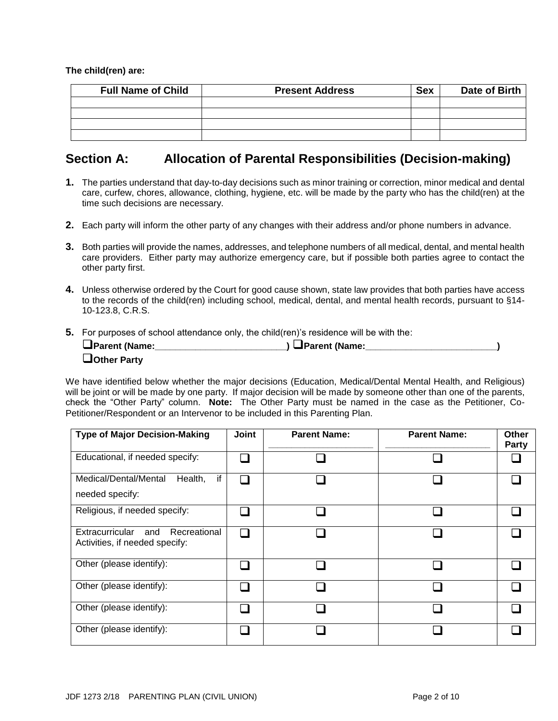**The child(ren) are:**

| <b>Full Name of Child</b> | <b>Present Address</b> |  | Date of Birth |
|---------------------------|------------------------|--|---------------|
|                           |                        |  |               |
|                           |                        |  |               |
|                           |                        |  |               |
|                           |                        |  |               |

# **Section A: Allocation of Parental Responsibilities (Decision-making)**

- **1.** The parties understand that day-to-day decisions such as minor training or correction, minor medical and dental care, curfew, chores, allowance, clothing, hygiene, etc. will be made by the party who has the child(ren) at the time such decisions are necessary.
- **2.** Each party will inform the other party of any changes with their address and/or phone numbers in advance.
- **3.** Both parties will provide the names, addresses, and telephone numbers of all medical, dental, and mental health care providers. Either party may authorize emergency care, but if possible both parties agree to contact the other party first.
- **4.** Unless otherwise ordered by the Court for good cause shown, state law provides that both parties have access to the records of the child(ren) including school, medical, dental, and mental health records, pursuant to §14- 10-123.8, C.R.S.
- **5.** For purposes of school attendance only, the child(ren)'s residence will be with the:

| $\Box$ Parent (Name: | ) <u>U</u> Parent (Name: |  |
|----------------------|--------------------------|--|
| <b>Other Party</b>   |                          |  |

We have identified below whether the major decisions (Education, Medical/Dental Mental Health, and Religious) will be joint or will be made by one party. If major decision will be made by someone other than one of the parents, check the "Other Party" column. **Note:** The Other Party must be named in the case as the Petitioner, Co-Petitioner/Respondent or an Intervenor to be included in this Parenting Plan.

| <b>Type of Major Decision-Making</b>                                  | Joint  | <b>Parent Name:</b> | <b>Parent Name:</b> | <b>Other</b><br><b>Party</b> |
|-----------------------------------------------------------------------|--------|---------------------|---------------------|------------------------------|
| Educational, if needed specify:                                       |        |                     |                     |                              |
| if<br>Medical/Dental/Mental<br>Health,<br>needed specify:             |        |                     |                     |                              |
| Religious, if needed specify:                                         | H      | $\mathcal{L}$       |                     |                              |
| Extracurricular and<br>Recreational<br>Activities, if needed specify: | $\Box$ |                     |                     |                              |
| Other (please identify):                                              |        |                     |                     |                              |
| Other (please identify):                                              |        | $\mathcal{L}$       |                     |                              |
| Other (please identify):                                              |        |                     |                     |                              |
| Other (please identify):                                              |        |                     |                     |                              |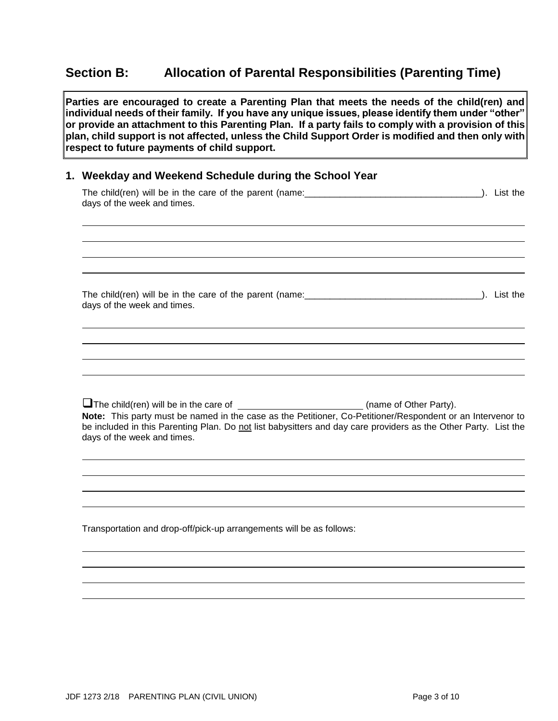### **Section B: Allocation of Parental Responsibilities (Parenting Time)**

**Parties are encouraged to create a Parenting Plan that meets the needs of the child(ren) and individual needs of their family. If you have any unique issues, please identify them under "other" or provide an attachment to this Parenting Plan. If a party fails to comply with a provision of this plan, child support is not affected, unless the Child Support Order is modified and then only with respect to future payments of child support.**

### **1. Weekday and Weekend Schedule during the School Year**

The child(ren) will be in the care of the parent (name:\_\_\_\_\_\_\_\_\_\_\_\_\_\_\_\_\_\_\_\_\_\_\_\_\_\_\_\_\_\_\_\_\_\_\_). List the days of the week and times.

The child(ren) will be in the care of the parent (name:\_\_\_\_\_\_\_\_\_\_\_\_\_\_\_\_\_\_\_\_\_\_\_\_\_\_\_\_\_\_\_\_\_\_\_). List the days of the week and times.

 $\Box$  The child(ren) will be in the care of  $\Box$  (name of Other Party). **Note:** This party must be named in the case as the Petitioner, Co-Petitioner/Respondent or an Intervenor to be included in this Parenting Plan. Do not list babysitters and day care providers as the Other Party. List the days of the week and times.

Transportation and drop-off/pick-up arrangements will be as follows: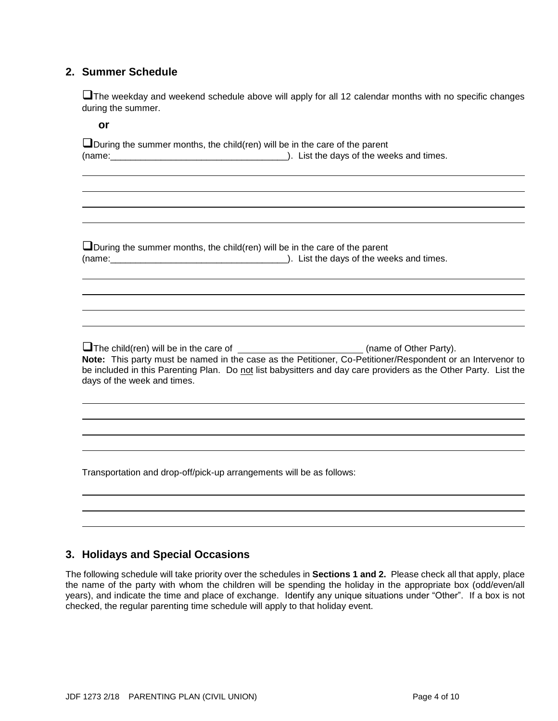### **2. Summer Schedule**

 $\square$  The weekday and weekend schedule above will apply for all 12 calendar months with no specific changes during the summer.

| w<br>۰.<br>۰,<br>$-$ |
|----------------------|
|                      |

During the summer months, the child(ren) will be in the care of the parent (name:\_\_\_\_\_\_\_\_\_\_\_\_\_\_\_\_\_\_\_\_\_\_\_\_\_\_\_\_\_\_\_\_\_\_\_). List the days of the weeks and times.

During the summer months, the child(ren) will be in the care of the parent (name:\_\_\_\_\_\_\_\_\_\_\_\_\_\_\_\_\_\_\_\_\_\_\_\_\_\_\_\_\_\_\_\_\_\_\_). List the days of the weeks and times.

The child(ren) will be in the care of \_\_\_\_\_\_\_\_\_\_\_\_\_\_\_\_\_\_\_\_\_\_\_\_\_\_\_(name of Other Party). **Note:** This party must be named in the case as the Petitioner, Co-Petitioner/Respondent or an Intervenor to be included in this Parenting Plan. Do not list babysitters and day care providers as the Other Party. List the days of the week and times.

Transportation and drop-off/pick-up arrangements will be as follows:

### **3. Holidays and Special Occasions**

The following schedule will take priority over the schedules in **Sections 1 and 2.** Please check all that apply, place the name of the party with whom the children will be spending the holiday in the appropriate box (odd/even/all years), and indicate the time and place of exchange. Identify any unique situations under "Other". If a box is not checked, the regular parenting time schedule will apply to that holiday event.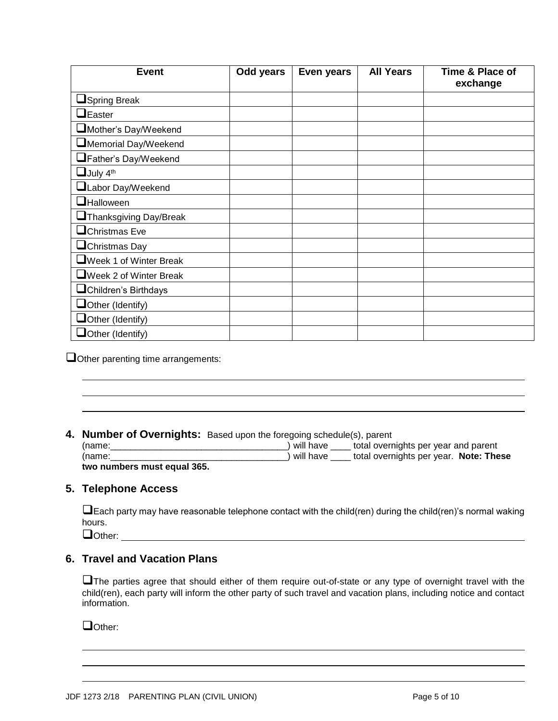| <b>Event</b>                  | Odd years | Even years | <b>All Years</b> | Time & Place of<br>exchange |
|-------------------------------|-----------|------------|------------------|-----------------------------|
| <b>Spring Break</b>           |           |            |                  |                             |
| $\Box$ Easter                 |           |            |                  |                             |
| Mother's Day/Weekend          |           |            |                  |                             |
| Memorial Day/Weekend          |           |            |                  |                             |
| Father's Day/Weekend          |           |            |                  |                             |
| $\Box$ July 4 <sup>th</sup>   |           |            |                  |                             |
| Labor Day/Weekend             |           |            |                  |                             |
| <b>Halloween</b>              |           |            |                  |                             |
| Thanksgiving Day/Break        |           |            |                  |                             |
| $\Box$ Christmas Eve          |           |            |                  |                             |
| $\Box$ Christmas Day          |           |            |                  |                             |
| Week 1 of Winter Break        |           |            |                  |                             |
| Week 2 of Winter Break        |           |            |                  |                             |
| <b>□</b> Children's Birthdays |           |            |                  |                             |
| Other (Identify)              |           |            |                  |                             |
| $\Box$ Other (Identify)       |           |            |                  |                             |
| $\Box$ Other (Identify)       |           |            |                  |                             |

Other parenting time arrangements:

### **4. Number of Overnights:** Based upon the foregoing schedule(s), parent

| (name:                      | will have           | total overnights per year and parent   |
|-----------------------------|---------------------|----------------------------------------|
| (name)                      | $\degree$ will have | total overnights per year. Note: These |
| two numbers must equal 365. |                     |                                        |

### **5. Telephone Access**

 $\Box$  Each party may have reasonable telephone contact with the child(ren) during the child(ren)'s normal waking hours. Other: and the contract of the contract of the contract of the contract of the contract of the contract of the contract of the contract of the contract of the contract of the contract of the contract of the contract of the

### **6. Travel and Vacation Plans**

The parties agree that should either of them require out-of-state or any type of overnight travel with the child(ren), each party will inform the other party of such travel and vacation plans, including notice and contact information.

D<sub>Other:</sub>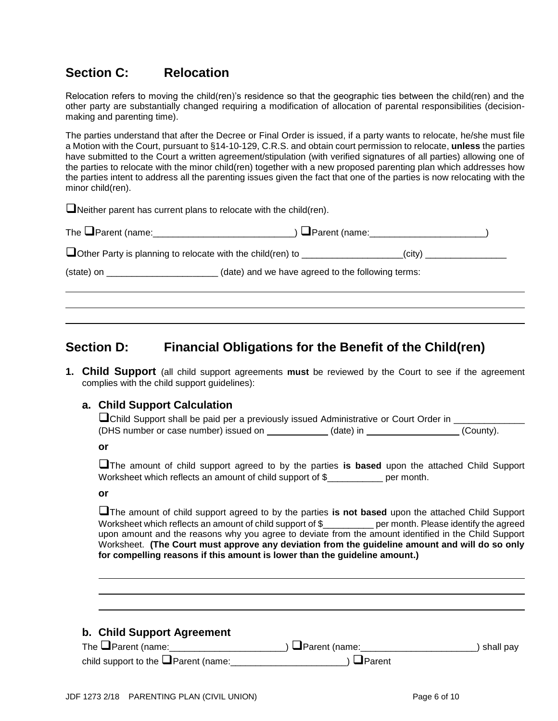## **Section C: Relocation**

Relocation refers to moving the child(ren)'s residence so that the geographic ties between the child(ren) and the other party are substantially changed requiring a modification of allocation of parental responsibilities (decisionmaking and parenting time).

The parties understand that after the Decree or Final Order is issued, if a party wants to relocate, he/she must file a Motion with the Court, pursuant to §14-10-129, C.R.S. and obtain court permission to relocate, **unless** the parties have submitted to the Court a written agreement/stipulation (with verified signatures of all parties) allowing one of the parties to relocate with the minor child(ren) together with a new proposed parenting plan which addresses how the parties intent to address all the parenting issues given the fact that one of the parties is now relocating with the minor child(ren).

 $\Box$  Neither parent has current plans to relocate with the child(ren).

|                                                                                  |                                                   | ) ■ Parent (name: _______________________ |  |
|----------------------------------------------------------------------------------|---------------------------------------------------|-------------------------------------------|--|
| Other Party is planning to relocate with the child(ren) to _____________________ |                                                   | (city)                                    |  |
| $(state)$ on $\overline{\qquad \qquad }$                                         | (date) and we have agreed to the following terms: |                                           |  |
|                                                                                  |                                                   |                                           |  |

# **Section D: Financial Obligations for the Benefit of the Child(ren)**

**1. Child Support** (all child support agreements **must** be reviewed by the Court to see if the agreement complies with the child support guidelines):

### **a. Child Support Calculation**

|                                       | LChild Support shall be paid per a previously issued Administrative or Court Order in |           |
|---------------------------------------|---------------------------------------------------------------------------------------|-----------|
| (DHS number or case number) issued on | (date) in                                                                             | (County). |

**or**

The amount of child support agreed to by the parties **is based** upon the attached Child Support Worksheet which reflects an amount of child support of \$ per month.

**or**

The amount of child support agreed to by the parties **is not based** upon the attached Child Support Worksheet which reflects an amount of child support of \$\_\_\_\_\_\_\_\_\_\_ per month. Please identify the agreed upon amount and the reasons why you agree to deviate from the amount identified in the Child Support Worksheet. **(The Court must approve any deviation from the guideline amount and will do so only for compelling reasons if this amount is lower than the guideline amount.)**

| b. Child Support Agreement<br>The $\Box$ Parent (name: $\Box$<br>child support to the $\Box$ Parent (name: | $\Box$ Parent (name:<br>$\Box$ Parent | shall pay |
|------------------------------------------------------------------------------------------------------------|---------------------------------------|-----------|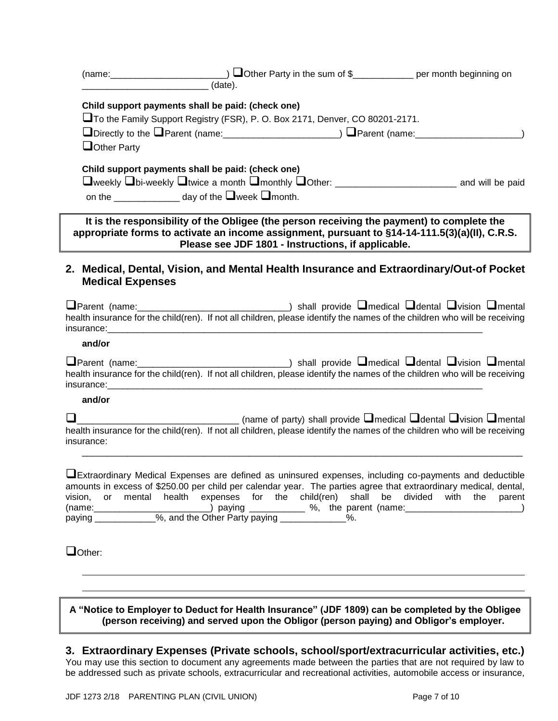| (date).                           | $(name:\_$ Other Party in the sum of $\frac{1}{2}$ per month beginning on                                                                                                                                                                                                                                                                                                                                                                                           |                                        |
|-----------------------------------|---------------------------------------------------------------------------------------------------------------------------------------------------------------------------------------------------------------------------------------------------------------------------------------------------------------------------------------------------------------------------------------------------------------------------------------------------------------------|----------------------------------------|
|                                   | Child support payments shall be paid: (check one)                                                                                                                                                                                                                                                                                                                                                                                                                   |                                        |
|                                   | □ To the Family Support Registry (FSR), P. O. Box 2171, Denver, CO 80201-2171.                                                                                                                                                                                                                                                                                                                                                                                      |                                        |
|                                   |                                                                                                                                                                                                                                                                                                                                                                                                                                                                     |                                        |
| $\Box$ Other Party                |                                                                                                                                                                                                                                                                                                                                                                                                                                                                     |                                        |
|                                   | Child support payments shall be paid: (check one)                                                                                                                                                                                                                                                                                                                                                                                                                   |                                        |
|                                   | on the $\frac{1}{\sqrt{1-\frac{1}{2}}}\frac{1}{\sqrt{1-\frac{1}{2}}}\frac{1}{\sqrt{1-\frac{1}{2}}}\frac{1}{\sqrt{1-\frac{1}{2}}}\frac{1}{\sqrt{1-\frac{1}{2}}}\frac{1}{\sqrt{1-\frac{1}{2}}}\frac{1}{\sqrt{1-\frac{1}{2}}}\frac{1}{\sqrt{1-\frac{1}{2}}}\frac{1}{\sqrt{1-\frac{1}{2}}}\frac{1}{\sqrt{1-\frac{1}{2}}}\frac{1}{\sqrt{1-\frac{1}{2}}}\frac{1}{\sqrt{1-\frac{1}{2}}}\frac{1}{\sqrt{1-\frac{1}{2}}}\frac{1}{$                                            |                                        |
|                                   | It is the responsibility of the Obligee (the person receiving the payment) to complete the<br>appropriate forms to activate an income assignment, pursuant to §14-14-111.5(3)(a)(II), C.R.S.<br>Please see JDF 1801 - Instructions, if applicable.                                                                                                                                                                                                                  |                                        |
| <b>Medical Expenses</b>           | 2. Medical, Dental, Vision, and Mental Health Insurance and Extraordinary/Out-of Pocket                                                                                                                                                                                                                                                                                                                                                                             |                                        |
|                                   | OParent (name: 1992) [2010] [2010] [2010] [30] shall provide Omedical Odental Ovision Omental<br>health insurance for the child(ren). If not all children, please identify the names of the children who will be receiving                                                                                                                                                                                                                                          |                                        |
| and/or                            |                                                                                                                                                                                                                                                                                                                                                                                                                                                                     |                                        |
|                                   | OParent (name: 1992) [2010] [2010] [2010] [2010] [30] shall provide Omedical Odental Ovision Omental<br>health insurance for the child(ren). If not all children, please identify the names of the children who will be receiving<br>insurance: the contract of the contract of the contract of the contract of the contract of the contract of the contract of the contract of the contract of the contract of the contract of the contract of the contract of the |                                        |
| and/or                            |                                                                                                                                                                                                                                                                                                                                                                                                                                                                     |                                        |
| $\Box$<br>insurance:              | $\Box$ (name of party) shall provide $\Box$ medical $\Box$ dental $\Box$ vision $\Box$ mental<br>health insurance for the child(ren). If not all children, please identify the names of the children who will be receiving                                                                                                                                                                                                                                          |                                        |
| mental<br>health<br>vision,<br>or | Extraordinary Medical Expenses are defined as uninsured expenses, including co-payments and deductible<br>amounts in excess of \$250.00 per child per calendar year. The parties agree that extraordinary medical, dental,<br>shall<br>expenses for the<br>child(ren)<br>$(name.$ $(name.$<br>paying _____________%, and the Other Party paying ___________%.                                                                                                       | divided<br>be<br>with<br>the<br>parent |
| $\Box$ Other:                     |                                                                                                                                                                                                                                                                                                                                                                                                                                                                     |                                        |
|                                   | A "Notice to Employer to Deduct for Health Insurance" (JDF 1809) can be completed by the Obligee<br>(person receiving) and served upon the Obligor (person paying) and Obligor's employer.                                                                                                                                                                                                                                                                          |                                        |

**3. Extraordinary Expenses (Private schools, school/sport/extracurricular activities, etc.)** You may use this section to document any agreements made between the parties that are not required by law to be addressed such as private schools, extracurricular and recreational activities, automobile access or insurance,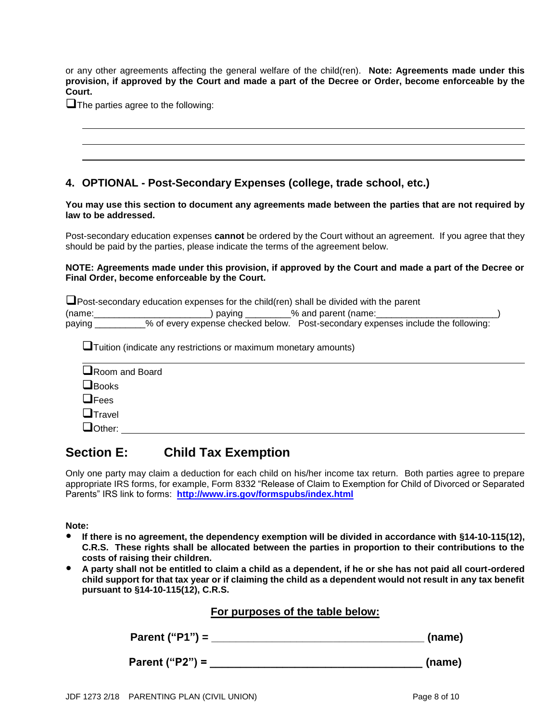or any other agreements affecting the general welfare of the child(ren). **Note: Agreements made under this provision, if approved by the Court and made a part of the Decree or Order, become enforceable by the Court.**

The parties agree to the following:

|                                                                                   |  | the control of the con-                                                                                         |
|-----------------------------------------------------------------------------------|--|-----------------------------------------------------------------------------------------------------------------|
|                                                                                   |  |                                                                                                                 |
| ,我们也不会有什么?""我们的人,我们也不会有什么?""我们的人,我们也不会有什么?""我们的人,我们也不会有什么?""我们的人,我们也不会有什么?""我们的人  |  |                                                                                                                 |
|                                                                                   |  |                                                                                                                 |
| ,我们的人们就是一个人的人,我们的人们就是一个人的人,我们的人们就是一个人的人,我们的人们就是一个人的人,我们的人们就是一个人的人,我们的人们就是一个人的人,我们 |  | the contract of the contract of the contract of the contract of the contract of the contract of the contract of |

### **4. OPTIONAL - Post-Secondary Expenses (college, trade school, etc.)**

#### **You may use this section to document any agreements made between the parties that are not required by law to be addressed.**

Post-secondary education expenses **cannot** be ordered by the Court without an agreement. If you agree that they should be paid by the parties, please indicate the terms of the agreement below.

#### **NOTE: Agreements made under this provision, if approved by the Court and made a part of the Decree or Final Order, become enforceable by the Court.**

|        | $\Box$ Post-secondary education expenses for the child(ren) shall be divided with the parent |
|--------|----------------------------------------------------------------------------------------------|
| (name: | % and parent (name:<br>, paying                                                              |
| paying | % of every expense checked below. Post-secondary expenses include the following:             |

Tuition (indicate any restrictions or maximum monetary amounts)

| Room and Board |  |  |
|----------------|--|--|
| $\Box$ Books   |  |  |
| $\Box$ Fees    |  |  |
| $\Box$ Travel  |  |  |
| Other:         |  |  |
|                |  |  |

### **Section E: Child Tax Exemption**

Only one party may claim a deduction for each child on his/her income tax return. Both parties agree to prepare appropriate IRS forms, for example, Form 8332 "Release of Claim to Exemption for Child of Divorced or Separated Parents" IRS link to forms: **<http://www.irs.gov/formspubs/index.html>**

**Note:** 

- **If there is no agreement, the dependency exemption will be divided in accordance with §14-10-115(12), C.R.S. These rights shall be allocated between the parties in proportion to their contributions to the costs of raising their children.**
- **A party shall not be entitled to claim a child as a dependent, if he or she has not paid all court-ordered child support for that tax year or if claiming the child as a dependent would not result in any tax benefit pursuant to §14-10-115(12), C.R.S.**

### **For purposes of the table below:**

| Parent ("P1") = | (name) |
|-----------------|--------|
|-----------------|--------|

**Parent ("P2") = \_\_\_\_\_\_\_\_\_\_\_\_\_\_\_\_\_\_\_\_\_\_\_\_\_\_\_\_\_\_\_\_\_\_\_ (name)**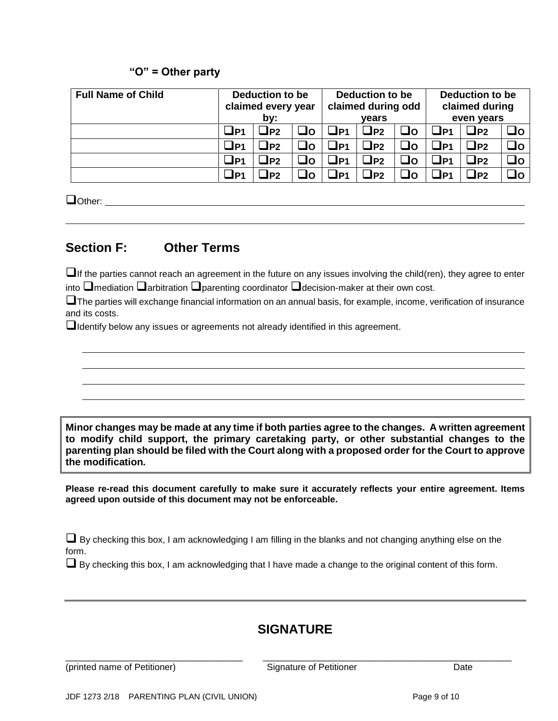### **"O" = Other party**

| <b>Full Name of Child</b> |       | Deduction to be<br>claimed every year<br>by: |          | <b>Deduction to be</b><br>claimed during odd<br>vears |      | <b>Deduction to be</b><br>claimed during<br>even years |           |                  |          |
|---------------------------|-------|----------------------------------------------|----------|-------------------------------------------------------|------|--------------------------------------------------------|-----------|------------------|----------|
|                           | ]P1   | $\mathsf{J}$ P2.                             | ചറ       | JP1                                                   | JP2. | ס∟                                                     | $\Box$ P1 | ⊿P2∶             |          |
|                           | וים ⊒ | $\sqcup$ P2                                  | J٥       | JP1                                                   | JP2. | ⊿o                                                     | $\Box$ P1 | コP2              | O⊡       |
|                           | ⊒в1   | $\mathsf{J}$ P2.                             | J٥       | JP1                                                   | JP2. | J٥                                                     | $\Box$ P1 | コP2              | $\Box$ o |
|                           | _lP1  | _IP2                                         | <u>ا</u> | JP1                                                   | JP2  | J٥                                                     | $\Box$ P1 | $\mathbf{p}_{2}$ | o⊑       |

Other: and the contract of the contract of the contract of the contract of the contract of the contract of the contract of the contract of the contract of the contract of the contract of the contract of the contract of the

# **Section F: Other Terms**

If the parties cannot reach an agreement in the future on any issues involving the child(ren), they agree to enter into  $\square$  mediation  $\square$  arbitration  $\square$  parenting coordinator  $\square$  decision-maker at their own cost.

 $\square$  The parties will exchange financial information on an annual basis, for example, income, verification of insurance and its costs.

Identify below any issues or agreements not already identified in this agreement.

**Minor changes may be made at any time if both parties agree to the changes. A written agreement to modify child support, the primary caretaking party, or other substantial changes to the parenting plan should be filed with the Court along with a proposed order for the Court to approve the modification.** 

**Please re-read this document carefully to make sure it accurately reflects your entire agreement. Items agreed upon outside of this document may not be enforceable.** 

 $\Box$  By checking this box, I am acknowledging I am filling in the blanks and not changing anything else on the form.

 $\Box$  By checking this box, I am acknowledging that I have made a change to the original content of this form.

# **SIGNATURE**

\_\_\_\_\_\_\_\_\_\_\_\_\_\_\_\_\_\_\_\_\_\_\_\_\_\_\_\_\_\_\_\_\_\_\_ \_\_\_\_\_\_\_\_\_\_\_\_\_\_\_\_\_\_\_\_\_\_\_\_\_\_\_\_\_\_\_\_\_\_\_\_\_\_\_\_\_\_\_\_\_\_\_\_\_

(printed name of Petitioner) Signature of Petitioner Date